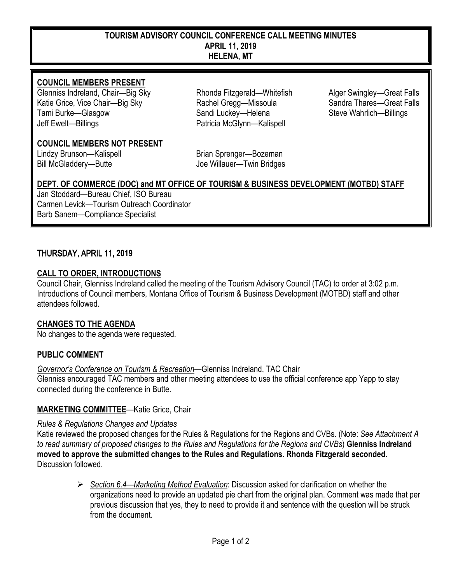#### **TOURISM ADVISORY COUNCIL CONFERENCE CALL MEETING MINUTES APRIL** 11**, 2019 HELENA, MT**

#### **COUNCIL MEMBERS PRESENT**

Glenniss Indreland, Chair—Big Sky **Rhonda Fitzgerald—Whitefish** Alger Swingley—Great Falls<br>Katie Grice. Vice Chair—Big Sky **Rachel Gregg—Missoula** Sandra Thares—Great Falls Katie Grice, Vice Chair—Big Sky Rachel Gregg—Missoula Tami Burke—Glasgow Sandi Luckey—Helena Steve Wahrlich—Billings Jeff Ewelt—Billings Patricia McGlynn—Kalispell

#### **COUNCIL MEMBERS NOT PRESENT**

Lindzy Brunson—Kalispell **Brian Sprenger—Bozeman** Bill McGladdery—Butte **Communist Communist Communist Communist Communist Communist Communist Communist Communist Communist Communist Communist Communist Communist Communist Communist Communist Communist Communist Communist** 

## **DEPT. OF COMMERCE (DOC) and MT OFFICE OF TOURISM & BUSINESS DEVELOPMENT (MOTBD) STAFF**

Jan Stoddard—Bureau Chief, ISO Bureau Carmen Levick—Tourism Outreach Coordinator Barb Sanem—Compliance Specialist

#### THURSDAY, APRIL 11, **2019**

#### **CALL TO ORDER, INTRODUCTIONS**

Council Chair, Glenniss Indreland called the meeting of the Tourism Advisory Council (TAC) to order at 3:02 p.m. Introductions of Council members, Montana Office of Tourism & Business Development (MOTBD) staff and other attendees followed.

#### **CHANGES TO THE AGENDA**

No changes to the agenda were requested.

#### **PUBLIC COMMENT**

#### *Governor's Conference on Tourism & Recreation*—Glenniss Indreland, TAC Chair

Glenniss encouraged TAC members and other meeting attendees to use the official conference app Yapp to stay connected during the conference in Butte.

#### **MARKETING COMMITTEE**—Katie Grice, Chair

#### *Rules & Regulations Changes and Updates*

Katie reviewed the proposed changes for the Rules & Regulations for the Regions and CVBs. (Note: *See Attachment A to read summary of proposed changes to the Rules and Regulations for the Regions and CVBs*) **Glenniss Indreland moved to approve the submitted changes to the Rules and Regulations. Rhonda Fitzgerald seconded.** Discussion followed.

> *Section 6.4—Marketing Method Evaluation*: Discussion asked for clarification on whether the organizations need to provide an updated pie chart from the original plan. Comment was made that per previous discussion that yes, they to need to provide it and sentence with the question will be struck from the document.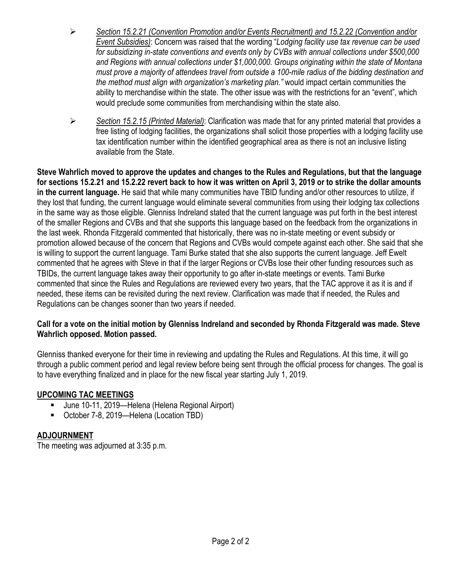- *Section 15.2.21 (Convention Promotion and/or Events Recruitment) and 15.2.22 (Convention and/or Event Subsidies)*: Concern was raised that the wording "*Lodging facility use tax revenue can be used for subsidizing in-state conventions and events only by CVBs with annual collections under \$500,000 and Regions with annual collections under \$1,000,000. Groups originating within the state of Montana must prove a majority of attendees travel from outside a 100-mile radius of the bidding destination and the method must align with organization's marketing plan."* would impact certain communities the ability to merchandise within the state. The other issue was with the restrictions for an "event", which would preclude some communities from merchandising within the state also.
- *Section 15.2.15 (Printed Material)*: Clarification was made that for any printed material that provides a free listing of lodging facilities, the organizations shall solicit those properties with a lodging facility use tax identification number within the identified geographical area as there is not an inclusive listing available from the State.

**Steve Wahrlich moved to approve the updates and changes to the Rules and Regulations, but that the language for sections 15.2.21 and 15.2.22 revert back to how it was written on April 3, 2019 or to strike the dollar amounts in the current language.** He said that while many communities have TBID funding and/or other resources to utilize, if they lost that funding, the current language would eliminate several communities from using their lodging tax collections in the same way as those eligible. Glenniss Indreland stated that the current language was put forth in the best interest of the smaller Regions and CVBs and that she supports this language based on the feedback from the organizations in the last week. Rhonda Fitzgerald commented that historically, there was no in-state meeting or event subsidy or promotion allowed because of the concern that Regions and CVBs would compete against each other. She said that she is willing to support the current language. Tami Burke stated that she also supports the current language. Jeff Ewelt commented that he agrees with Steve in that if the larger Regions or CVBs lose their other funding resources such as TBIDs, the current language takes away their opportunity to go after in-state meetings or events. Tami Burke commented that since the Rules and Regulations are reviewed every two years, that the TAC approve it as it is and if needed, these items can be revisited during the next review. Clarification was made that if needed, the Rules and Regulations can be changes sooner than two years if needed.

#### **Call for a vote on the initial motion by Glenniss Indreland and seconded by Rhonda Fitzgerald was made. Steve Wahrlich opposed. Motion passed.**

Glenniss thanked everyone for their time in reviewing and updating the Rules and Regulations. At this time, it will go through a public comment period and legal review before being sent through the official process for changes. The goal is to have everything finalized and in place for the new fiscal year starting July 1, 2019.

#### **UPCOMING TAC MEETINGS**

- June 10-11, 2019—Helena (Helena Regional Airport)
- October 7-8, 2019—Helena (Location TBD)

#### **ADJOURNMENT**

The meeting was adjourned at 3:35 p.m.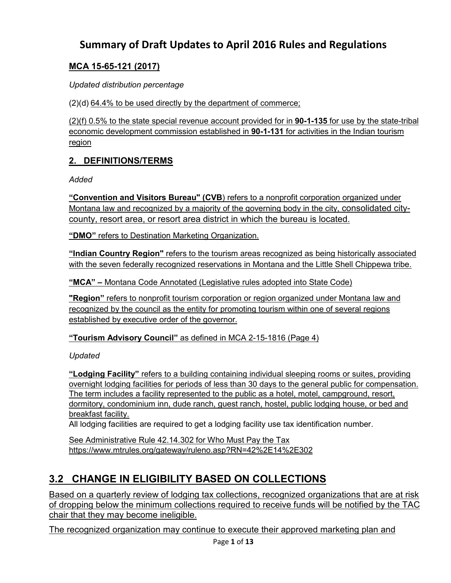# **Summary of Draft Updates to April 2016 Rules and Regulations**

# **MCA 15-65-121 (2017)**

*Updated distribution percentage*

(2)(d) 64.4% to be used directly by the department of commerce;

(2)(f) 0.5% to the state special revenue account provided for in **[90-1-135](http://leg.mt.gov/bills/mca/title_0900/chapter_0010/part_0010/section_0350/0900-0010-0010-0350.html)** for use by the state-tribal economic development commission established in **[90-1-131](http://leg.mt.gov/bills/mca/title_0900/chapter_0010/part_0010/section_0310/0900-0010-0010-0310.html)** for activities in the Indian tourism region

# **2. DEFINITIONS/TERMS**

*Added*

**"Convention and Visitors Bureau" (CVB**) refers to a nonprofit corporation organized under Montana law and recognized by a majority of the governing body in the city, consolidated citycounty, resort area, or resort area district in which the bureau is located.

**"DMO"** refers to Destination Marketing Organization.

**"Indian Country Region"** refers to the tourism areas recognized as being historically associated with the seven federally recognized reservations in Montana and the Little Shell Chippewa tribe.

**"MCA" –** Montana Code Annotated (Legislative rules adopted into State Code)

**"Region"** refers to nonprofit tourism corporation or region organized under Montana law and recognized by the council as the entity for promoting tourism within one of several regions established by executive order of the governor.

**"Tourism Advisory Council"** as defined in MCA 2-15-1816 (Page 4)

*Updated*

**"Lodging Facility"** refers to a building containing individual sleeping rooms or suites, providing overnight lodging facilities for periods of less than 30 days to the general public for compensation. The term includes a facility represented to the public as a hotel, motel, campground, resort, dormitory, condominium inn, dude ranch, guest ranch, hostel, public lodging house, or bed and breakfast facility.

All lodging facilities are required to get a lodging facility use tax identification number.

See Administrative Rule 42.14.302 for [Who Must Pay the Tax](http://www.mtrules.org/gateway/ruleno.asp?RN=42%2E14%2E302) <https://www.mtrules.org/gateway/ruleno.asp?RN=42%2E14%2E302>

# **3.2 CHANGE IN ELIGIBILITY BASED ON COLLECTIONS**

Based on a quarterly review of lodging tax collections, recognized organizations that are at risk of dropping below the minimum collections required to receive funds will be notified by the TAC chair that they may become ineligible.

The recognized organization may continue to execute their approved marketing plan and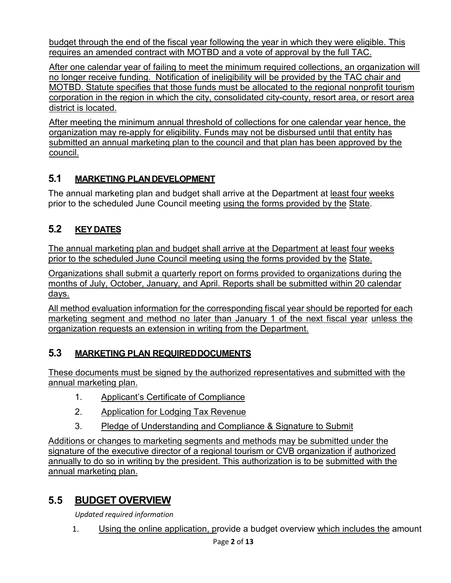budget through the end of the fiscal year following the year in which they were eligible. This requires an amended contract with MOTBD and a vote of approval by the full TAC.

After one calendar year of failing to meet the minimum required collections, an organization will no longer receive funding. Notification of ineligibility will be provided by the TAC chair and MOTBD. Statute specifies that those funds must be allocated to the regional nonprofit tourism corporation in the region in which the city, consolidated city-county, resort area, or resort area district is located.

After meeting the minimum annual threshold of collections for one calendar year hence, the organization may re-apply for eligibility. Funds may not be disbursed until that entity has submitted an annual marketing plan to the council and that plan has been approved by the council.

# **5.1 MARKETING PLANDEVELOPMENT**

The annual marketing plan and budget shall arrive at the Department at least four weeks prior to the scheduled June Council meeting using the forms provided by the State.

# **5.2 KEYDATES**

The annual marketing plan and budget shall arrive at the Department at least four weeks prior to the scheduled June Council meeting using the forms provided by the State.

Organizations shall submit a quarterly report on forms provided to organizations during the months of July, October, January, and April. Reports shall be submitted within 20 calendar days.

All method evaluation information for the corresponding fiscal year should be reported for each marketing segment and method no later than January 1 of the next fiscal year unless the organization requests an extension in writing from the Department.

# **5.3 MARKETING PLAN REQUIREDDOCUMENTS**

These documents must be signed by the authorized representatives and submitted with the annual marketing plan.

- 1. Applicant's Certificate of Compliance
- 2. Application for Lodging Tax Revenue
- 3. Pledge of Understanding and Compliance & Signature to Submit

Additions or changes to marketing segments and methods may be submitted under the signature of the executive director of a regional tourism or CVB organization if authorized annually to do so in writing by the president. This authorization is to be submitted with the annual marketing plan.

# **5.5 BUDGET OVERVIEW**

*Updated required information*

1. Using the online application, provide a budget overview which includes the amount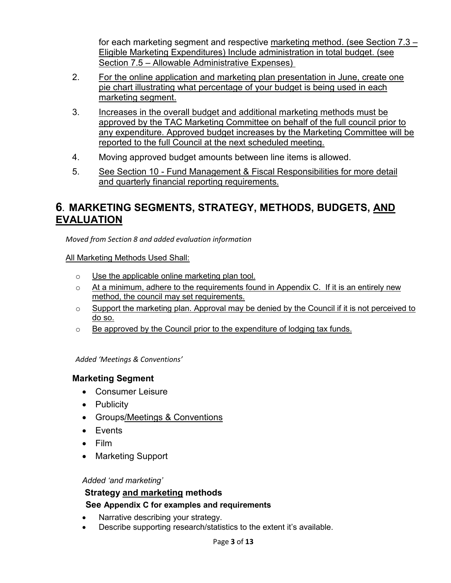for each marketing segment and respective marketing method. (see Section 7.3 – Eligible Marketing Expenditures) Include administration in total budget. (see Section 7.5 – Allowable Administrative Expenses)

- 2. For the online application and marketing plan presentation in June, create one pie chart illustrating what percentage of your budget is being used in each marketing segment.
- 3. Increases in the overall budget and additional marketing methods must be approved by the TAC Marketing Committee on behalf of the full council prior to any expenditure. Approved budget increases by the Marketing Committee will be reported to the full Council at the next scheduled meeting.
- 4. Moving approved budget amounts between line items is allowed.
- 5. See Section 10 Fund Management & Fiscal Responsibilities for more detail and quarterly financial reporting requirements.

# **6. MARKETING SEGMENTS, STRATEGY, METHODS, BUDGETS, AND EVALUATION**

*Moved from Section 8 and added evaluation information*

All Marketing Methods Used Shall:

- o Use the applicable online marketing plan tool.
- $\circ$  At a minimum, adhere to the requirements found in Appendix C. If it is an entirely new method, the council may set requirements.
- $\circ$  Support the marketing plan. Approval may be denied by the Council if it is not perceived to do so.
- $\circ$  Be approved by the Council prior to the expenditure of lodging tax funds.

*Added 'Meetings & Conventions'*

#### **Marketing Segment**

- Consumer Leisure
- Publicity
- Groups/Meetings & Conventions
- Events
- Film
- Marketing Support

#### *Added 'and marketing'*

#### **Strategy and marketing methods**

#### **See Appendix C for examples and requirements**

- Narrative describing your strategy.
- Describe supporting research/statistics to the extent it's available.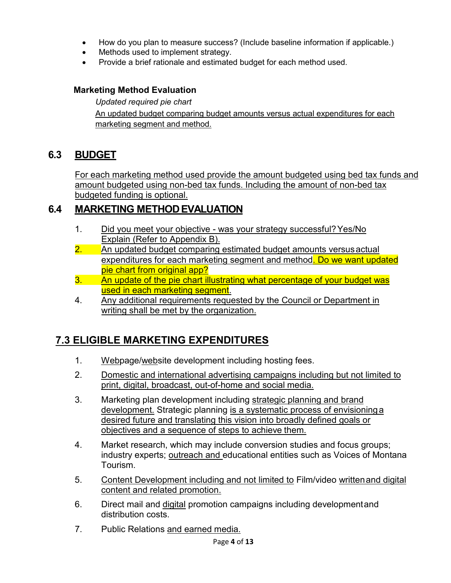- How do you plan to measure success? (Include baseline information if applicable.)
- Methods used to implement strategy.
- Provide a brief rationale and estimated budget for each method used.

#### **Marketing Method Evaluation**

*Updated required pie chart* An updated budget comparing budget amounts versus actual expenditures for each marketing segment and method.

# **6.3 BUDGET**

For each marketing method used provide the amount budgeted using bed tax funds and amount budgeted using non-bed tax funds. Including the amount of non-bed tax budgeted funding is optional.

# **6.4 MARKETING METHODEVALUATION**

- 1. Did you meet your objective was your strategy successful? Yes/No Explain (Refer to Appendix B).
- 2. An updated budget comparing estimated budget amounts versus actual expenditures for each marketing segment and method. Do we want updated pie chart from original app?
- 3. An update of the pie chart illustrating what percentage of your budget was used in each marketing segment.
- 4. Any additional requirements requested by the Council or Department in writing shall be met by the organization.

# **7.3 ELIGIBLE MARKETING EXPENDITURES**

- 1. Webpage/website development including hosting fees.
- 2. Domestic and international advertising campaigns including but not limited to print, digital, broadcast, out-of-home and social media.
- 3. Marketing plan development including strategic planning and brand development. Strategic planning is a systematic process of envisioninga desired future and translating this vision into broadly defined goals or objectives and a sequence of steps to achieve them.
- 4. Market research, which may include conversion studies and focus groups; industry experts; outreach and educational entities such as Voices of Montana Tourism.
- 5. Content Development including and not limited to Film/video written and digital content and related promotion.
- 6. Direct mail and digital promotion campaigns including developmentand distribution costs.
- 7. Public Relations and earned media.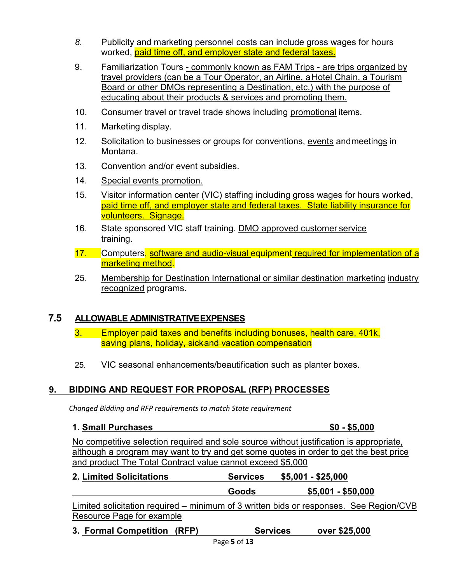- *8.* Publicity and marketing personnel costs can include gross wages for hours worked, paid time off, and employer state and federal taxes.
- 9. Familiarization Tours commonly known as FAM Trips are trips organized by travel providers (can be a Tour Operator, an Airline, aHotel Chain, a Tourism Board or other DMOs representing a Destination, etc.) with the purpose of educating about their products & services and promoting them.
- 10. Consumer travel or travel trade shows including promotional items.
- 11. Marketing display.
- 12. Solicitation to businesses or groups for conventions, events andmeetings in Montana.
- 13. Convention and/or event subsidies.
- 14. Special events promotion.
- 15. Visitor information center (VIC) staffing including gross wages for hours worked, paid time off, and employer state and federal taxes. State liability insurance for volunteers. Signage.
- 16. State sponsored VIC staff training. DMO approved customer service training.
- 17. Computers, software and audio-visual equipment required for implementation of a marketing method.
- 25. Membership for Destination International or similar destination marketing industry recognized programs.

#### **7.5 ALLOWABLE ADMINISTRATIVEEXPENSES**

- 3. Employer paid taxes and benefits including bonuses, health care, 401k, saving plans, holiday, sickand vacation compensation
- 25. VIC seasonal enhancements/beautification such as planter boxes.

#### **9. BIDDING AND REQUEST FOR PROPOSAL (RFP) PROCESSES**

*Changed Bidding and RFP requirements to match State requirement*

#### **1. Small Purchases \$0 - \$5,000**

No competitive selection required and sole source without justification is appropriate, although a program may want to try and get some quotes in order to get the best price and product The Total Contract value cannot exceed \$5,000

**2. Limited Solicitations Services \$5,001 - \$25,000**

**Goods \$5,001 - \$50,000**

Limited solicitation required – minimum of 3 written bids or responses. See Region/CVB Resource Page for example

**3. Formal Competition (RFP) Services over \$25,000**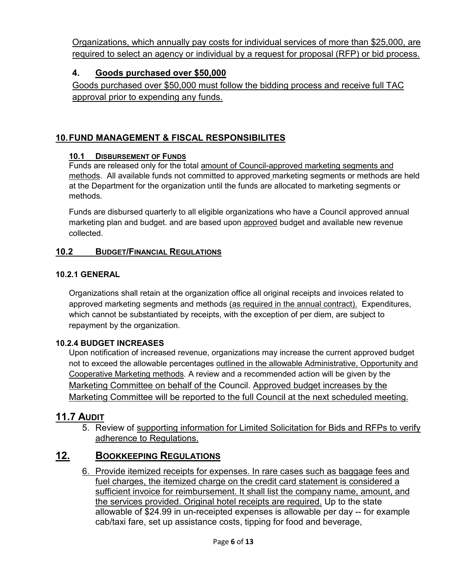Organizations, which annually pay costs for individual services of more than \$25,000, are required to select an agency or individual by a request for proposal (RFP) or bid process.

### **4. Goods purchased over \$50,000**

Goods purchased over \$50,000 must follow the bidding process and receive full TAC approval prior to expending any funds.

# **10.FUND MANAGEMENT & FISCAL RESPONSIBILITES**

#### **10.1 DISBURSEMENT OF FUNDS**

Funds are released only for the total amount of Council-approved marketing segments and methods. All available funds not committed to approved marketing segments or methods are held at the Department for the organization until the funds are allocated to marketing segments or methods.

Funds are disbursed quarterly to all eligible organizations who have a Council approved annual marketing plan and budget. and are based upon approved budget and available new revenue collected.

#### **10.2 BUDGET/FINANCIAL REGULATIONS**

#### **10.2.1 GENERAL**

Organizations shall retain at the organization office all original receipts and invoices related to approved marketing segments and methods (as required in the annual contract). Expenditures, which cannot be substantiated by receipts, with the exception of per diem, are subject to repayment by the organization.

#### **10.2.4 BUDGET INCREASES**

Upon notification of increased revenue, organizations may increase the current approved budget not to exceed the allowable percentages outlined in the allowable Administrative, Opportunity and Cooperative Marketing methods. A review and a recommended action will be given by the Marketing Committee on behalf of the Council. Approved budget increases by the Marketing Committee will be reported to the full Council at the next scheduled meeting.

#### **11.7 AUDIT**

5. Review of supporting information for Limited Solicitation for Bids and RFPs to verify adherence to Regulations.

### **12. BOOKKEEPING REGULATIONS**

6. Provide itemized receipts for expenses. In rare cases such as baggage fees and fuel charges, the itemized charge on the credit card statement is considered a sufficient invoice for reimbursement. It shall list the company name, amount, and the services provided. Original hotel receipts are required. Up to the state allowable of \$24.99 in un-receipted expenses is allowable per day -- for example cab/taxi fare, set up assistance costs, tipping for food and beverage,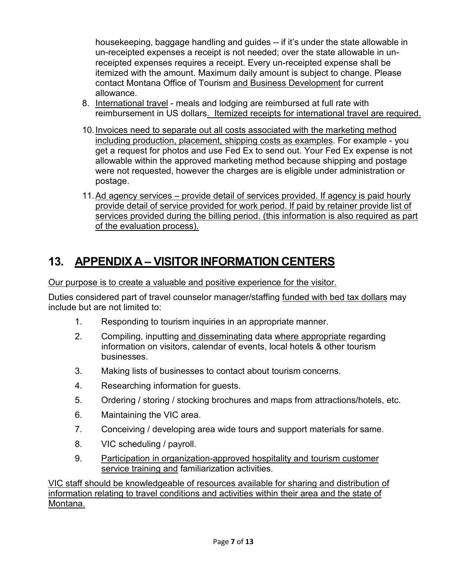housekeeping, baggage handling and guides -- if it's under the state allowable in un-receipted expenses a receipt is not needed; over the state allowable in unreceipted expenses requires a receipt. Every un-receipted expense shall be itemized with the amount. Maximum daily amount is subject to change. Please contact Montana Office of Tourism and Business Development for current allowance.

- 8. International travel meals and lodging are reimbursed at full rate with reimbursement in US dollars. Itemized receipts for international travel are required.
- 10.Invoices need to separate out all costs associated with the marketing method including production, placement, shipping costs as examples. For example - you get a request for photos and use Fed Ex to send out. Your Fed Ex expense is not allowable within the approved marketing method because shipping and postage were not requested, however the charges are is eligible under administration or postage.
- 11.Ad agency services provide detail of services provided. If agency is paid hourly provide detail of service provided for work period. If paid by retainer provide list of services provided during the billing period. (this information is also required as part of the evaluation process).

# **13. APPENDIX A – VISITOR INFORMATION CENTERS**

Our purpose is to create a valuable and positive experience for the visitor.

Duties considered part of travel counselor manager/staffing funded with bed tax dollars may include but are not limited to:

- 1. Responding to tourism inquiries in an appropriate manner.
- 2. Compiling, inputting and disseminating data where appropriate regarding information on visitors, calendar of events, local hotels & other tourism businesses.
- 3. Making lists of businesses to contact about tourism concerns.
- 4. Researching information for guests.
- 5. Ordering / storing / stocking brochures and maps from attractions/hotels, etc.
- 6. Maintaining the VIC area.
- 7. Conceiving / developing area wide tours and support materials for same.
- 8. VIC scheduling / payroll.
- 9. Participation in organization-approved hospitality and tourism customer service training and familiarization activities.

VIC staff should be knowledgeable of resources available for sharing and distribution of information relating to travel conditions and activities within their area and the state of Montana.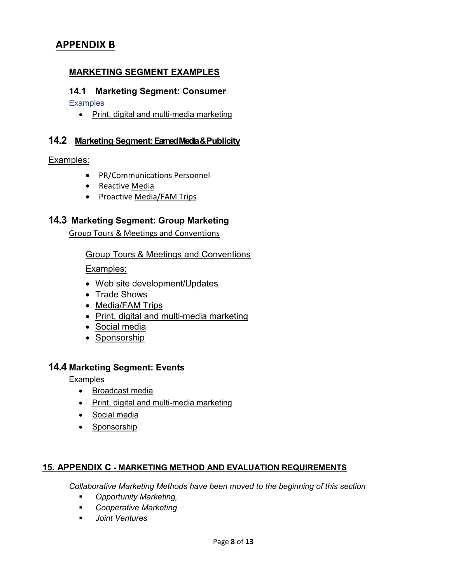# **APPENDIX B**

#### **MARKETING SEGMENT EXAMPLES**

#### **14.1 Marketing Segment: Consumer**

**Examples** 

• Print, digital and multi-media marketing

#### **14.2 Marketing Segment:Earned Media & Publicity**

#### Examples:

- PR/Communications Personnel
- Reactive Media
- Proactive Media/FAM Trips

#### **14.3 Marketing Segment: Group Marketing**

Group Tours & Meetings and Conventions

Group Tours & Meetings and Conventions

Examples:

- Web site development/Updates
- Trade Shows
- Media/FAM Trips
- Print, digital and multi-media marketing
- Social media
- Sponsorship

#### **14.4 Marketing Segment: Events**

**Examples** 

- Broadcast media
- Print, digital and multi-media marketing
- Social media
- Sponsorship

#### **15. APPENDIX C - MARKETING METHOD AND EVALUATION REQUIREMENTS**

*Collaborative Marketing Methods have been moved to the beginning of this section*

- *Opportunity Marketing,*
- *Cooperative Marketing*
- *Joint Ventures*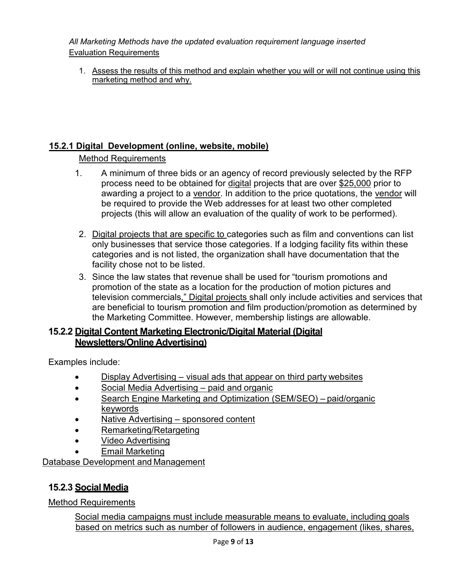*All Marketing Methods have the updated evaluation requirement language inserted* Evaluation Requirements

1. Assess the results of this method and explain whether you will or will not continue using this marketing method and why.

### **15.2.1 Digital Development (online, website, mobile)**

### Method Requirements

- 1. A minimum of three bids or an agency of record previously selected by the RFP process need to be obtained for digital projects that are over \$25,000 prior to awarding a project to a vendor. In addition to the price quotations, the vendor will be required to provide the Web addresses for at least two other completed projects (this will allow an evaluation of the quality of work to be performed).
- 2. Digital projects that are specific to categories such as film and conventions can list only businesses that service those categories. If a lodging facility fits within these categories and is not listed, the organization shall have documentation that the facility chose not to be listed.
- 3. Since the law states that revenue shall be used for "tourism promotions and promotion of the state as a location for the production of motion pictures and television commercials," Digital projects shall only include activities and services that are beneficial to tourism promotion and film production/promotion as determined by the Marketing Committee. However, membership listings are allowable.

### **15.2.2 Digital Content Marketing Electronic/Digital Material (Digital Newsletters/Online Advertising)**

Examples include:

- Display Advertising visual ads that appear on third party websites
- Social Media Advertising paid and organic
- Search Engine Marketing and Optimization (SEM/SEO) paid/organic keywords
- Native Advertising sponsored content
- Remarketing/Retargeting
- Video Advertising
- Email Marketing

Database Development and Management

# **15.2.3 Social Media**

Method Requirements

Social media campaigns must include measurable means to evaluate, including goals based on metrics such as number of followers in audience, engagement (likes, shares,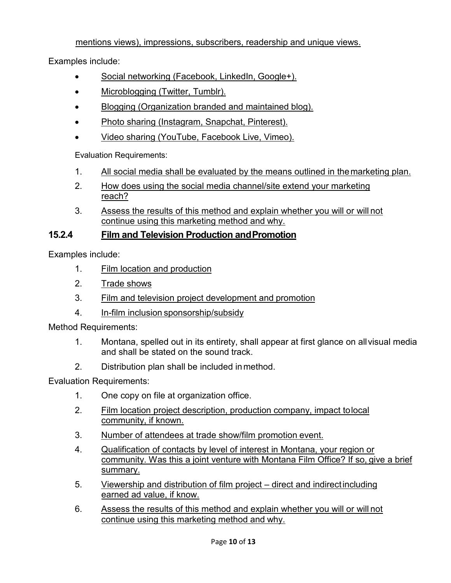### mentions views), impressions, subscribers, readership and unique views.

Examples include:

- Social networking (Facebook, LinkedIn, Google+).
- Microblogging (Twitter, Tumblr).
- Blogging (Organization branded and maintained blog).
- Photo sharing (Instagram, Snapchat, Pinterest).
- Video sharing (YouTube, Facebook Live, Vimeo).

Evaluation Requirements:

- 1. All social media shall be evaluated by the means outlined in the marketing plan.
- 2. How does using the social media channel/site extend your marketing reach?
- 3. Assess the results of this method and explain whether you will or will not continue using this marketing method and why.

### **15.2.4 Film and Television Production andPromotion**

Examples include:

- 1. Film location and production
- 2. Trade shows
- 3. Film and television project development and promotion
- 4. In-film inclusion sponsorship/subsidy

Method Requirements:

- 1. Montana, spelled out in its entirety, shall appear at first glance on allvisual media and shall be stated on the sound track.
- 2. Distribution plan shall be included inmethod.

Evaluation Requirements:

- 1. One copy on file at organization office.
- 2. Film location project description, production company, impact tolocal community, if known.
- 3. Number of attendees at trade show/film promotion event.
- 4. Qualification of contacts by level of interest in Montana, your region or community. Was this a joint venture with Montana Film Office? If so, give a brief summary.
- 5. Viewership and distribution of film project direct and indirectincluding earned ad value, if know.
- 6. Assess the results of this method and explain whether you will or will not continue using this marketing method and why.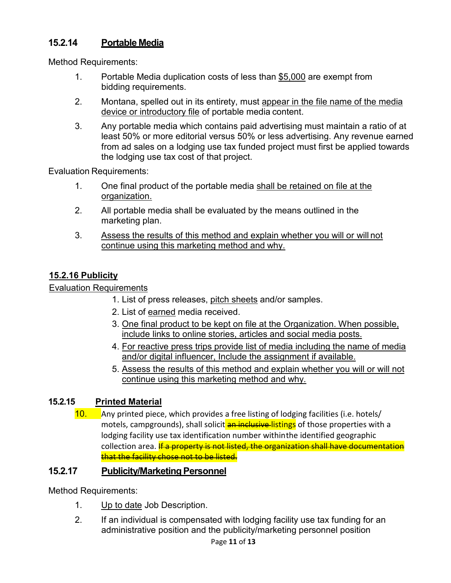# **15.2.14 Portable Media**

Method Requirements:

- 1. Portable Media duplication costs of less than \$5,000 are exempt from bidding requirements.
- 2. Montana, spelled out in its entirety, must appear in the file name of the media device or introductory file of portable media content.
- 3. Any portable media which contains paid advertising must maintain a ratio of at least 50% or more editorial versus 50% or less advertising. Any revenue earned from ad sales on a lodging use tax funded project must first be applied towards the lodging use tax cost of that project.

Evaluation Requirements:

- 1. One final product of the portable media shall be retained on file at the organization.
- 2. All portable media shall be evaluated by the means outlined in the marketing plan.
- 3. Assess the results of this method and explain whether you will or will not continue using this marketing method and why.

# **15.2.16 Publicity**

### Evaluation Requirements

- 1. List of press releases, pitch sheets and/or samples.
- 2. List of earned media received.
- 3. One final product to be kept on file at the Organization. When possible, include links to online stories, articles and social media posts.
- 4. For reactive press trips provide list of media including the name of media and/or digital influencer, Include the assignment if available.
- 5. Assess the results of this method and explain whether you will or will not continue using this marketing method and why.

### **15.2.15 Printed Material**

10. Any printed piece, which provides a free listing of lodging facilities (i.e. hotels/ motels, campgrounds), shall solicit an inclusive-listings of those properties with a lodging facility use tax identification number withinthe identified geographic collection area. If a property is not listed, the organization shall have documentation that the facility chose not to be listed.

### 15.2.17 **Publicity/Marketing Personnel**

Method Requirements:

- 1. Up to date Job Description.
- 2. If an individual is compensated with lodging facility use tax funding for an administrative position and the publicity/marketing personnel position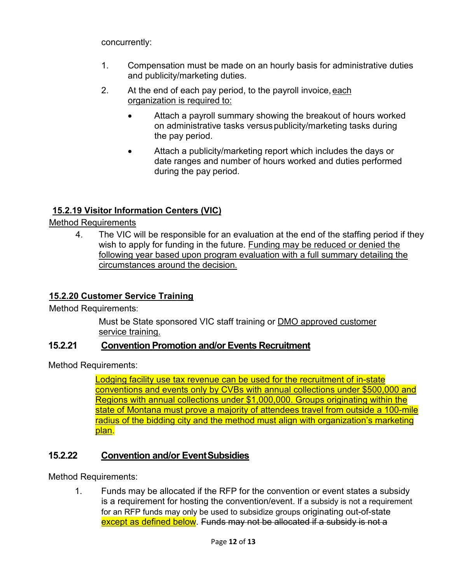concurrently:

- 1. Compensation must be made on an hourly basis for administrative duties and publicity/marketing duties.
- 2. At the end of each pay period, to the payroll invoice,each organization is required to:
	- Attach a payroll summary showing the breakout of hours worked on administrative tasks versuspublicity/marketing tasks during the pay period.
	- Attach a publicity/marketing report which includes the days or date ranges and number of hours worked and duties performed during the pay period.

# **15.2.19 Visitor Information Centers (VIC)**

### Method Requirements

4. The VIC will be responsible for an evaluation at the end of the staffing period if they wish to apply for funding in the future. Funding may be reduced or denied the following year based upon program evaluation with a full summary detailing the circumstances around the decision.

### **15.2.20 Customer Service Training**

Method Requirements:

Must be State sponsored VIC staff training or DMO approved customer service training.

### **15.2.21 Convention Promotion and/or Events Recruitment**

Method Requirements:

Lodging facility use tax revenue can be used for the recruitment of in-state conventions and events only by CVBs with annual collections under \$500,000 and Regions with annual collections under \$1,000,000. Groups originating within the state of Montana must prove a majority of attendees travel from outside a 100-mile radius of the bidding city and the method must align with organization's marketing plan.

### **15.2.22 Convention and/or EventSubsidies**

Method Requirements:

1. Funds may be allocated if the RFP for the convention or event states a subsidy is a requirement for hosting the convention/event. If a subsidy is not a requirement for an RFP funds may only be used to subsidize groups originating out-of-state except as defined below. Funds may not be allocated if a subsidy is not a